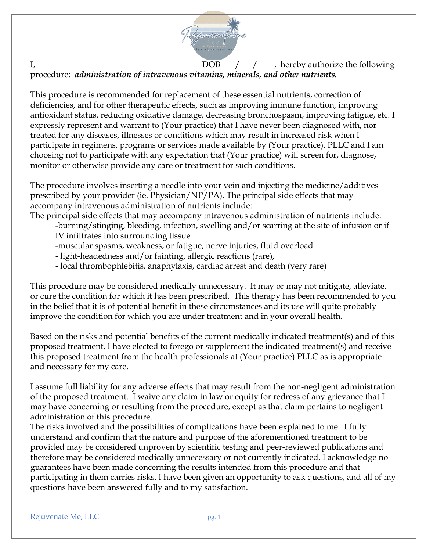

I, \_\_\_\_\_\_\_\_\_\_\_\_\_\_\_\_\_\_\_\_\_\_\_\_\_\_\_\_\_\_\_\_\_\_\_\_\_\_ DOB \_\_\_/\_\_\_/\_\_\_ , hereby authorize the following procedure: *administration of intravenous vitamins, minerals, and other nutrients.*

This procedure is recommended for replacement of these essential nutrients, correction of deficiencies, and for other therapeutic effects, such as improving immune function, improving antioxidant status, reducing oxidative damage, decreasing bronchospasm, improving fatigue, etc. I expressly represent and warrant to (Your practice) that I have never been diagnosed with, nor treated for any diseases, illnesses or conditions which may result in increased risk when I participate in regimens, programs or services made available by (Your practice), PLLC and I am choosing not to participate with any expectation that (Your practice) will screen for, diagnose, monitor or otherwise provide any care or treatment for such conditions.

The procedure involves inserting a needle into your vein and injecting the medicine/additives prescribed by your provider (ie. Physician/NP/PA). The principal side effects that may accompany intravenous administration of nutrients include:

The principal side effects that may accompany intravenous administration of nutrients include: -burning/stinging, bleeding, infection, swelling and/or scarring at the site of infusion or if

IV infiltrates into surrounding tissue

- -muscular spasms, weakness, or fatigue, nerve injuries, fluid overload
- light-headedness and/or fainting, allergic reactions (rare),
- local thrombophlebitis, anaphylaxis, cardiac arrest and death (very rare)

This procedure may be considered medically unnecessary. It may or may not mitigate, alleviate, or cure the condition for which it has been prescribed. This therapy has been recommended to you in the belief that it is of potential benefit in these circumstances and its use will quite probably improve the condition for which you are under treatment and in your overall health.

Based on the risks and potential benefits of the current medically indicated treatment(s) and of this proposed treatment, I have elected to forego or supplement the indicated treatment(s) and receive this proposed treatment from the health professionals at (Your practice) PLLC as is appropriate and necessary for my care.

I assume full liability for any adverse effects that may result from the non-negligent administration of the proposed treatment. I waive any claim in law or equity for redress of any grievance that I may have concerning or resulting from the procedure, except as that claim pertains to negligent administration of this procedure.

The risks involved and the possibilities of complications have been explained to me. I fully understand and confirm that the nature and purpose of the aforementioned treatment to be provided may be considered unproven by scientific testing and peer-reviewed publications and therefore may be considered medically unnecessary or not currently indicated. I acknowledge no guarantees have been made concerning the results intended from this procedure and that participating in them carries risks. I have been given an opportunity to ask questions, and all of my questions have been answered fully and to my satisfaction.